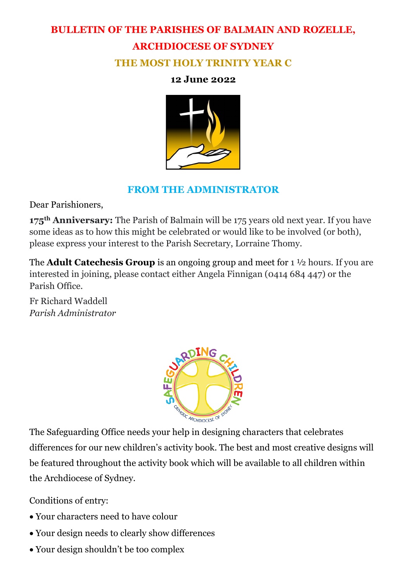### **BULLETIN OF THE PARISHES OF BALMAIN AND ROZELLE, ARCHDIOCESE OF SYDNEY THE MOST HOLY TRINITY YEAR C**

#### **12 June 2022**



### **FROM THE ADMINISTRATOR**

Dear Parishioners,

**175th Anniversary:** The Parish of Balmain will be 175 years old next year. If you have some ideas as to how this might be celebrated or would like to be involved (or both), please express your interest to the Parish Secretary, Lorraine Thomy.

The **Adult Catechesis Group** is an ongoing group and meet for 1 ½ hours. If you are interested in joining, please contact either Angela Finnigan (0414 684 447) or the Parish Office.

Fr Richard Waddell *Parish Administrator*



The Safeguarding Office needs your help in designing characters that celebrates differences for our new children's activity book. The best and most creative designs will be featured throughout the activity book which will be available to all children within the Archdiocese of Sydney.

Conditions of entry:

- Your characters need to have colour
- Your design needs to clearly show differences
- Your design shouldn't be too complex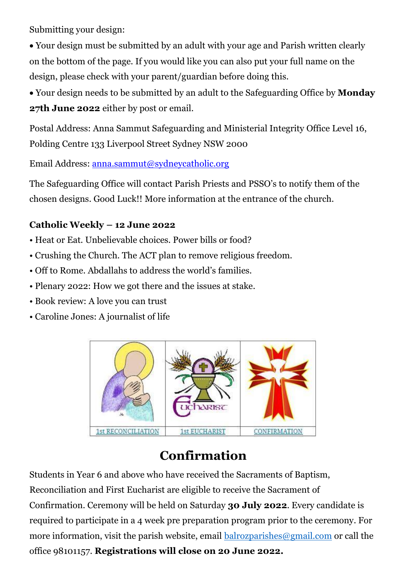Submitting your design:

• Your design must be submitted by an adult with your age and Parish written clearly on the bottom of the page. If you would like you can also put your full name on the design, please check with your parent/guardian before doing this.

• Your design needs to be submitted by an adult to the Safeguarding Office by **Monday 27th June 2022** either by post or email.

Postal Address: Anna Sammut Safeguarding and Ministerial Integrity Office Level 16, Polding Centre 133 Liverpool Street Sydney NSW 2000

Email Address: [anna.sammut@sydneycatholic.org](mailto:anna.sammut@sydneycatholic.org)

The Safeguarding Office will contact Parish Priests and PSSO's to notify them of the chosen designs. Good Luck!! More information at the entrance of the church.

### **Catholic Weekly – 12 June 2022**

- Heat or Eat. Unbelievable choices. Power bills or food?
- Crushing the Church. The ACT plan to remove religious freedom.
- Off to Rome. Abdallahs to address the world's families.
- Plenary 2022: How we got there and the issues at stake.
- Book review: A love you can trust
- Caroline Jones: A journalist of life



# **Confirmation**

Students in Year 6 and above who have received the Sacraments of Baptism, Reconciliation and First Eucharist are eligible to receive the Sacrament of Confirmation. Ceremony will be held on Saturday **30 July 2022**. Every candidate is required to participate in a 4 week pre preparation program prior to the ceremony. For more information, visit the parish website, email [balrozparishes@gmail.com](mailto:balrozparishes@gmail.com) or call the office 98101157. **Registrations will close on 20 June 2022.**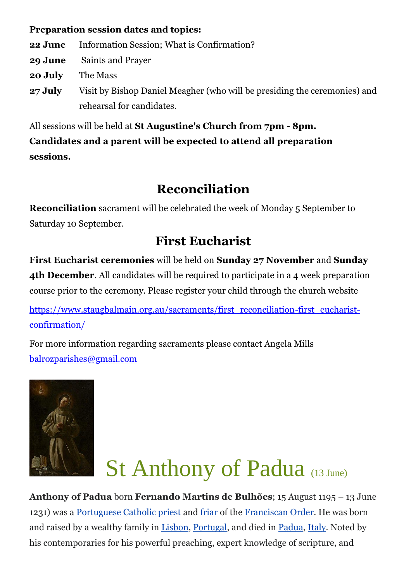### **Preparation session dates and topics:**

- **22 June** Information Session; What is Confirmation?
- **29 June** Saints and Prayer
- **20 July** The Mass
- **27 July** Visit by Bishop Daniel Meagher (who will be presiding the ceremonies) and rehearsal for candidates.

All sessions will be held at **St Augustine's Church from 7pm - 8pm. Candidates and a parent will be expected to attend all preparation sessions.**

### **Reconciliation**

**Reconciliation** sacrament will be celebrated the week of Monday 5 September to Saturday 10 September.

## **First Eucharist**

**First Eucharist ceremonies** will be held on **Sunday 27 November** and **Sunday 4th December**. All candidates will be required to participate in a 4 week preparation course prior to the ceremony. Please register your child through the church website

[https://www.staugbalmain.org.au/sacraments/first\\_reconciliation-first\\_eucharist](https://www.staugbalmain.org.au/sacraments/first_reconciliation-first_eucharist-confirmation/)[confirmation/](https://www.staugbalmain.org.au/sacraments/first_reconciliation-first_eucharist-confirmation/)

For more information regarding sacraments please contact Angela Mills [balrozparishes@gmail.com](mailto:balrozparishes@gmail.com)



# St Anthony of Padua (13 June)

**Anthony of Padua** born **Fernando Martins de Bulhões**; 15 August 1195 – 13 June 1231) was a [Portuguese](https://en.wikipedia.org/wiki/Portuguese_people) [Catholic](https://en.wikipedia.org/wiki/Catholic_Church) [priest](https://en.wikipedia.org/wiki/Priesthood_(Catholic_Church)) and [friar](https://en.wikipedia.org/wiki/Friar) of the [Franciscan Order.](https://en.wikipedia.org/wiki/Franciscan_Order) He was born and raised by a wealthy family in [Lisbon,](https://en.wikipedia.org/wiki/Lisbon) [Portugal,](https://en.wikipedia.org/wiki/Portugal) and died in [Padua,](https://en.wikipedia.org/wiki/Padua) [Italy.](https://en.wikipedia.org/wiki/Italy) Noted by his contemporaries for his powerful preaching, expert knowledge of scripture, and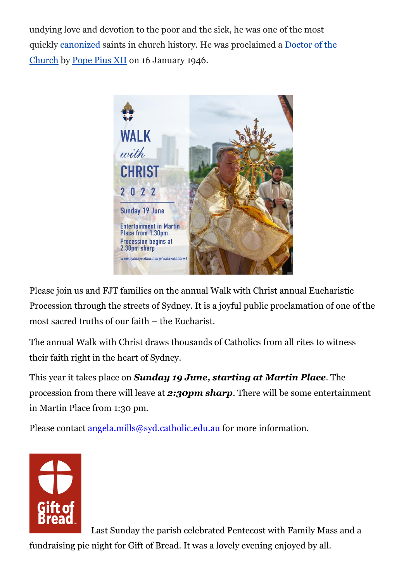undying love and devotion to the poor and the sick, he was one of the most quickly [canonized](https://en.wikipedia.org/wiki/Canonization) saints in church history. He was proclaimed a [Doctor of the](https://en.wikipedia.org/wiki/Doctor_of_the_Church)  [Church](https://en.wikipedia.org/wiki/Doctor_of_the_Church) by [Pope Pius XII](https://en.wikipedia.org/wiki/Pope_Pius_XII) on 16 January 1946.



Please join us and FJT families on the annual Walk with Christ annual Eucharistic Procession through the streets of Sydney. It is a joyful public proclamation of one of the most sacred truths of our faith – the Eucharist.

The annual Walk with Christ draws thousands of Catholics from all rites to witness their faith right in the heart of Sydney.

This year it takes place on *Sunday 19 June, starting at Martin Place*. The procession from there will leave at *2:30pm sharp*. There will be some entertainment in Martin Place from 1:30 pm.

Please contact [angela.mills@syd.catholic.edu.au](mailto:angela.mills@syd.catholic.edu.au) for more information.



Last Sunday the parish celebrated Pentecost with Family Mass and a

fundraising pie night for Gift of Bread. It was a lovely evening enjoyed by all.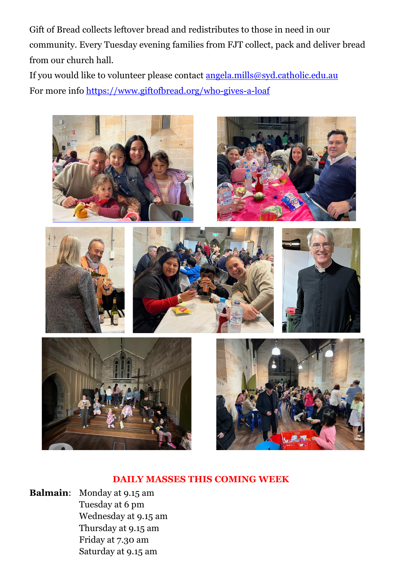Gift of Bread collects leftover bread and redistributes to those in need in our community. Every Tuesday evening families from FJT collect, pack and deliver bread from our church hall.

If you would like to volunteer please contact [angela.mills@syd.catholic.edu.au](mailto:angela.mills@syd.catholic.edu.au) For more info <https://www.giftofbread.org/who-gives-a-loaf>



#### **DAILY MASSES THIS COMING WEEK**

**Balmain**: Monday at 9.15 am Tuesday at 6 pm Wednesday at 9.15 am Thursday at 9.15 am Friday at 7.30 am Saturday at 9.15 am